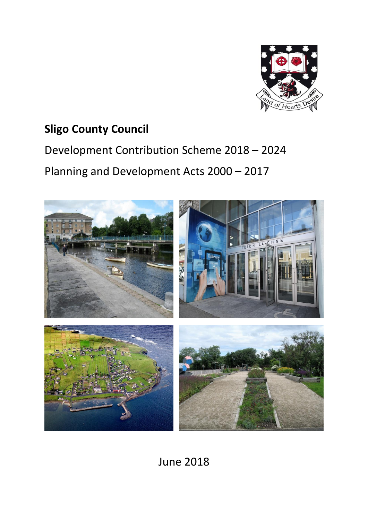

## **Sligo County Council**

# Development Contribution Scheme 2018 – 2024 Planning and Development Acts 2000 – 2017



June 2018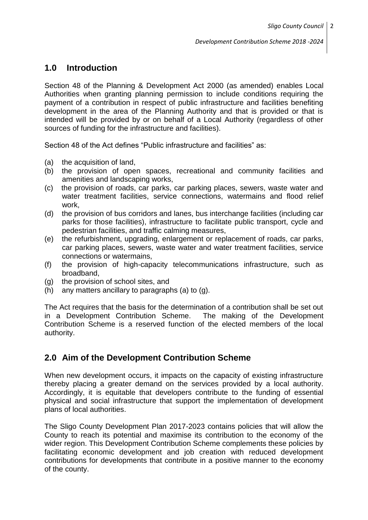## **1.0 Introduction**

Section 48 of the Planning & Development Act 2000 (as amended) enables Local Authorities when granting planning permission to include conditions requiring the payment of a contribution in respect of public infrastructure and facilities benefiting development in the area of the Planning Authority and that is provided or that is intended will be provided by or on behalf of a Local Authority (regardless of other sources of funding for the infrastructure and facilities).

Section 48 of the Act defines "Public infrastructure and facilities" as:

- (a) the acquisition of land,
- (b) the provision of open spaces, recreational and community facilities and amenities and landscaping works,
- (c) the provision of roads, car parks, car parking places, sewers, waste water and water treatment facilities, service connections, watermains and flood relief work,
- (d) the provision of bus corridors and lanes, bus interchange facilities (including car parks for those facilities), infrastructure to facilitate public transport, cycle and pedestrian facilities, and traffic calming measures,
- (e) the refurbishment, upgrading, enlargement or replacement of roads, car parks, car parking places, sewers, waste water and water treatment facilities, service connections or watermains,
- (f) the provision of high-capacity telecommunications infrastructure, such as broadband,
- (g) the provision of school sites, and
- (h) any matters ancillary to paragraphs (a) to (g).

The Act requires that the basis for the determination of a contribution shall be set out in a Development Contribution Scheme. The making of the Development Contribution Scheme is a reserved function of the elected members of the local authority.

## **2.0 Aim of the Development Contribution Scheme**

When new development occurs, it impacts on the capacity of existing infrastructure thereby placing a greater demand on the services provided by a local authority. Accordingly, it is equitable that developers contribute to the funding of essential physical and social infrastructure that support the implementation of development plans of local authorities.

The Sligo County Development Plan 2017-2023 contains policies that will allow the County to reach its potential and maximise its contribution to the economy of the wider region. This Development Contribution Scheme complements these policies by facilitating economic development and job creation with reduced development contributions for developments that contribute in a positive manner to the economy of the county.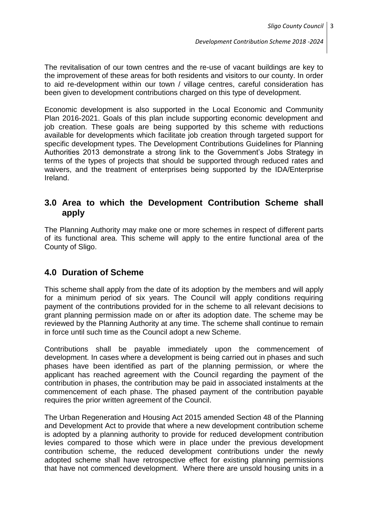The revitalisation of our town centres and the re-use of vacant buildings are key to the improvement of these areas for both residents and visitors to our county. In order to aid re-development within our town / village centres, careful consideration has been given to development contributions charged on this type of development.

Economic development is also supported in the Local Economic and Community Plan 2016-2021. Goals of this plan include supporting economic development and job creation. These goals are being supported by this scheme with reductions available for developments which facilitate job creation through targeted support for specific development types. The Development Contributions Guidelines for Planning Authorities 2013 demonstrate a strong link to the Government's Jobs Strategy in terms of the types of projects that should be supported through reduced rates and waivers, and the treatment of enterprises being supported by the IDA/Enterprise Ireland.

## **3.0 Area to which the Development Contribution Scheme shall apply**

The Planning Authority may make one or more schemes in respect of different parts of its functional area. This scheme will apply to the entire functional area of the County of Sligo.

## **4.0 Duration of Scheme**

This scheme shall apply from the date of its adoption by the members and will apply for a minimum period of six years. The Council will apply conditions requiring payment of the contributions provided for in the scheme to all relevant decisions to grant planning permission made on or after its adoption date. The scheme may be reviewed by the Planning Authority at any time. The scheme shall continue to remain in force until such time as the Council adopt a new Scheme.

Contributions shall be payable immediately upon the commencement of development. In cases where a development is being carried out in phases and such phases have been identified as part of the planning permission, or where the applicant has reached agreement with the Council regarding the payment of the contribution in phases, the contribution may be paid in associated instalments at the commencement of each phase. The phased payment of the contribution payable requires the prior written agreement of the Council.

The Urban Regeneration and Housing Act 2015 amended Section 48 of the Planning and Development Act to provide that where a new development contribution scheme is adopted by a planning authority to provide for reduced development contribution levies compared to those which were in place under the previous development contribution scheme, the reduced development contributions under the newly adopted scheme shall have retrospective effect for existing planning permissions that have not commenced development. Where there are unsold housing units in a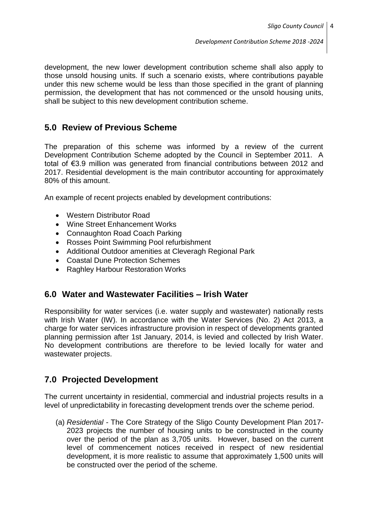development, the new lower development contribution scheme shall also apply to those unsold housing units. If such a scenario exists, where contributions payable under this new scheme would be less than those specified in the grant of planning permission, the development that has not commenced or the unsold housing units, shall be subject to this new development contribution scheme.

## **5.0 Review of Previous Scheme**

The preparation of this scheme was informed by a review of the current Development Contribution Scheme adopted by the Council in September 2011. A total of €3.9 million was generated from financial contributions between 2012 and 2017. Residential development is the main contributor accounting for approximately 80% of this amount.

An example of recent projects enabled by development contributions:

- Western Distributor Road
- Wine Street Enhancement Works
- Connaughton Road Coach Parking
- Rosses Point Swimming Pool refurbishment
- Additional Outdoor amenities at Cleveragh Regional Park
- Coastal Dune Protection Schemes
- Raghley Harbour Restoration Works

## **6.0 Water and Wastewater Facilities – Irish Water**

Responsibility for water services (i.e. water supply and wastewater) nationally rests with Irish Water (IW). In accordance with the Water Services (No. 2) Act 2013, a charge for water services infrastructure provision in respect of developments granted planning permission after 1st January, 2014, is levied and collected by Irish Water. No development contributions are therefore to be levied locally for water and wastewater projects.

## **7.0 Projected Development**

The current uncertainty in residential, commercial and industrial projects results in a level of unpredictability in forecasting development trends over the scheme period.

(a) *Residential* - The Core Strategy of the Sligo County Development Plan 2017- 2023 projects the number of housing units to be constructed in the county over the period of the plan as 3,705 units. However, based on the current level of commencement notices received in respect of new residential development, it is more realistic to assume that approximately 1,500 units will be constructed over the period of the scheme.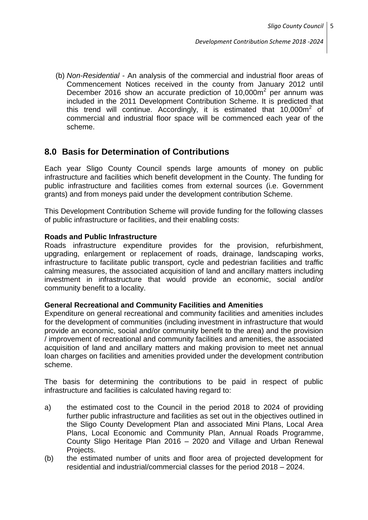(b) *Non-Residential* - An analysis of the commercial and industrial floor areas of Commencement Notices received in the county from January 2012 until December 2016 show an accurate prediction of 10,000m<sup>2</sup> per annum was included in the 2011 Development Contribution Scheme. It is predicted that this trend will continue. Accordingly, it is estimated that  $10,000m^2$  of commercial and industrial floor space will be commenced each year of the scheme.

## **8.0 Basis for Determination of Contributions**

Each year Sligo County Council spends large amounts of money on public infrastructure and facilities which benefit development in the County. The funding for public infrastructure and facilities comes from external sources (i.e. Government grants) and from moneys paid under the development contribution Scheme.

This Development Contribution Scheme will provide funding for the following classes of public infrastructure or facilities, and their enabling costs:

#### **Roads and Public Infrastructure**

Roads infrastructure expenditure provides for the provision, refurbishment, upgrading, enlargement or replacement of roads, drainage, landscaping works, infrastructure to facilitate public transport, cycle and pedestrian facilities and traffic calming measures, the associated acquisition of land and ancillary matters including investment in infrastructure that would provide an economic, social and/or community benefit to a locality.

#### **General Recreational and Community Facilities and Amenities**

Expenditure on general recreational and community facilities and amenities includes for the development of communities (including investment in infrastructure that would provide an economic, social and/or community benefit to the area) and the provision / improvement of recreational and community facilities and amenities, the associated acquisition of land and ancillary matters and making provision to meet net annual loan charges on facilities and amenities provided under the development contribution scheme.

The basis for determining the contributions to be paid in respect of public infrastructure and facilities is calculated having regard to:

- a) the estimated cost to the Council in the period 2018 to 2024 of providing further public infrastructure and facilities as set out in the objectives outlined in the Sligo County Development Plan and associated Mini Plans, Local Area Plans, Local Economic and Community Plan, Annual Roads Programme, County Sligo Heritage Plan 2016 – 2020 and Village and Urban Renewal Projects.
- (b) the estimated number of units and floor area of projected development for residential and industrial/commercial classes for the period 2018 – 2024.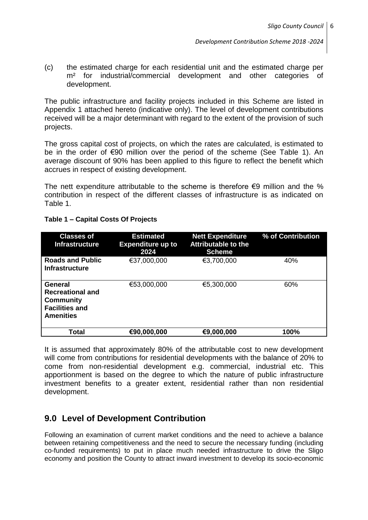(c) the estimated charge for each residential unit and the estimated charge per m<sup>2</sup> for industrial/commercial development and other categories of development.

The public infrastructure and facility projects included in this Scheme are listed in Appendix 1 attached hereto (indicative only). The level of development contributions received will be a major determinant with regard to the extent of the provision of such projects.

The gross capital cost of projects, on which the rates are calculated, is estimated to be in the order of €90 million over the period of the scheme (See Table 1). An average discount of 90% has been applied to this figure to reflect the benefit which accrues in respect of existing development.

The nett expenditure attributable to the scheme is therefore  $\epsilon$ 9 million and the % contribution in respect of the different classes of infrastructure is as indicated on Table 1.

| <b>Classes of</b><br><b>Infrastructure</b>                                                                 | <b>Estimated</b><br><b>Expenditure up to</b><br>2024 | <b>Nett Expenditure</b><br><b>Attributable to the</b><br><b>Scheme</b> | % of Contribution |
|------------------------------------------------------------------------------------------------------------|------------------------------------------------------|------------------------------------------------------------------------|-------------------|
| <b>Roads and Public</b><br><b>Infrastructure</b>                                                           | €37,000,000                                          | €3,700,000                                                             | 40%               |
| <b>General</b><br><b>Recreational and</b><br><b>Community</b><br><b>Facilities and</b><br><b>Amenities</b> | €53,000,000                                          | €5,300,000                                                             | 60%               |
| Total                                                                                                      | €90,000,000                                          | €9,000,000                                                             | 100%              |

#### **Table 1 – Capital Costs Of Projects**

It is assumed that approximately 80% of the attributable cost to new development will come from contributions for residential developments with the balance of 20% to come from non-residential development e.g. commercial, industrial etc. This apportionment is based on the degree to which the nature of public infrastructure investment benefits to a greater extent, residential rather than non residential development.

## **9.0 Level of Development Contribution**

Following an examination of current market conditions and the need to achieve a balance between retaining competitiveness and the need to secure the necessary funding (including co-funded requirements) to put in place much needed infrastructure to drive the Sligo economy and position the County to attract inward investment to develop its socio-economic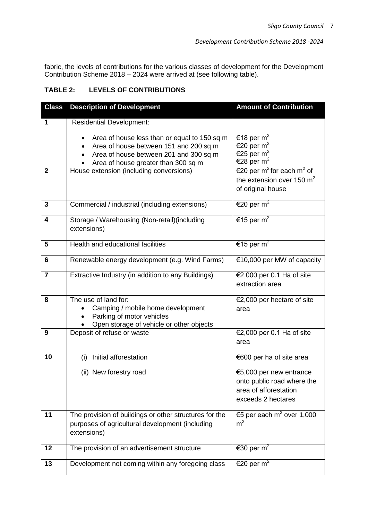fabric, the levels of contributions for the various classes of development for the Development Contribution Scheme 2018 – 2024 were arrived at (see following table).

#### **TABLE 2: LEVELS OF CONTRIBUTIONS**

| <b>Class</b>   | <b>Description of Development</b>                                                                                                                                                                 | <b>Amount of Contribution</b>                                                                         |
|----------------|---------------------------------------------------------------------------------------------------------------------------------------------------------------------------------------------------|-------------------------------------------------------------------------------------------------------|
| 1              | <b>Residential Development:</b>                                                                                                                                                                   |                                                                                                       |
|                | Area of house less than or equal to 150 sq m<br>Area of house between 151 and 200 sq m<br>$\bullet$<br>Area of house between 201 and 300 sq m<br>$\bullet$<br>Area of house greater than 300 sq m | €18 per m <sup>2</sup><br>€20 per m <sup>2</sup><br>€25 per m <sup>2</sup><br>€28 per m <sup>2</sup>  |
| $\overline{2}$ | House extension (including conversions)                                                                                                                                                           | €20 per m <sup>2</sup> for each m <sup>2</sup> of<br>the extension over 150 $m2$<br>of original house |
| 3              | Commercial / industrial (including extensions)                                                                                                                                                    | €20 per m <sup>2</sup>                                                                                |
| 4              | Storage / Warehousing (Non-retail) (including<br>extensions)                                                                                                                                      | €15 per m <sup>2</sup>                                                                                |
| 5              | Health and educational facilities                                                                                                                                                                 | €15 per m <sup>2</sup>                                                                                |
| 6              | Renewable energy development (e.g. Wind Farms)                                                                                                                                                    | €10,000 per MW of capacity                                                                            |
| $\overline{7}$ | Extractive Industry (in addition to any Buildings)                                                                                                                                                | €2,000 per 0.1 Ha of site<br>extraction area                                                          |
| 8              | The use of land for:<br>Camping / mobile home development<br>Parking of motor vehicles<br>Open storage of vehicle or other objects                                                                | €2,000 per hectare of site<br>area                                                                    |
| 9              | Deposit of refuse or waste                                                                                                                                                                        | €2,000 per 0.1 Ha of site<br>area                                                                     |
| 10             | (i) Initial afforestation                                                                                                                                                                         | €600 per ha of site area                                                                              |
|                | (ii) New forestry road                                                                                                                                                                            | €5,000 per new entrance<br>onto public road where the<br>area of afforestation<br>exceeds 2 hectares  |
| 11             | The provision of buildings or other structures for the<br>purposes of agricultural development (including<br>extensions)                                                                          | €5 per each $m^2$ over 1,000<br>m <sup>2</sup>                                                        |
| 12             | The provision of an advertisement structure                                                                                                                                                       | €30 per m <sup>2</sup>                                                                                |
| 13             | Development not coming within any foregoing class                                                                                                                                                 | €20 per m <sup>2</sup>                                                                                |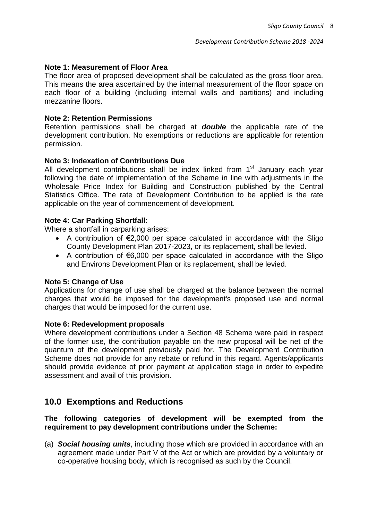#### **Note 1: Measurement of Floor Area**

The floor area of proposed development shall be calculated as the gross floor area. This means the area ascertained by the internal measurement of the floor space on each floor of a building (including internal walls and partitions) and including mezzanine floors.

#### **Note 2: Retention Permissions**

Retention permissions shall be charged at *double* the applicable rate of the development contribution. No exemptions or reductions are applicable for retention permission.

#### **Note 3: Indexation of Contributions Due**

All development contributions shall be index linked from  $1<sup>st</sup>$  January each year following the date of implementation of the Scheme in line with adjustments in the Wholesale Price Index for Building and Construction published by the Central Statistics Office. The rate of Development Contribution to be applied is the rate applicable on the year of commencement of development.

#### **Note 4: Car Parking Shortfall**:

Where a shortfall in carparking arises:

- A contribution of  $\epsilon$ 2,000 per space calculated in accordance with the Sligo County Development Plan 2017-2023, or its replacement, shall be levied.
- A contribution of  $\epsilon$ 6,000 per space calculated in accordance with the Sligo and Environs Development Plan or its replacement, shall be levied.

#### **Note 5: Change of Use**

Applications for change of use shall be charged at the balance between the normal charges that would be imposed for the development's proposed use and normal charges that would be imposed for the current use.

#### **Note 6: Redevelopment proposals**

Where development contributions under a Section 48 Scheme were paid in respect of the former use, the contribution payable on the new proposal will be net of the quantum of the development previously paid for. The Development Contribution Scheme does not provide for any rebate or refund in this regard. Agents/applicants should provide evidence of prior payment at application stage in order to expedite assessment and avail of this provision.

## **10.0 Exemptions and Reductions**

#### **The following categories of development will be exempted from the requirement to pay development contributions under the Scheme:**

(a) *Social housing units*, including those which are provided in accordance with an agreement made under Part V of the Act or which are provided by a voluntary or co-operative housing body, which is recognised as such by the Council.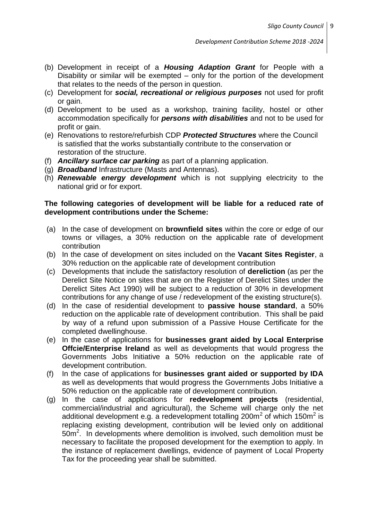- (b) Development in receipt of a *Housing Adaption Grant* for People with a Disability or similar will be exempted – only for the portion of the development that relates to the needs of the person in question.
- (c) Development for *social, recreational or religious purposes* not used for profit or gain.
- (d) Development to be used as a workshop, training facility, hostel or other accommodation specifically for *persons with disabilities* and not to be used for profit or gain.
- (e) Renovations to restore/refurbish CDP *Protected Structures* where the Council is satisfied that the works substantially contribute to the conservation or restoration of the structure.
- (f) *Ancillary surface car parking* as part of a planning application.
- (g) *Broadband* Infrastructure (Masts and Antennas).
- (h) *Renewable energy development* which is not supplying electricity to the national grid or for export.

#### **The following categories of development will be liable for a reduced rate of development contributions under the Scheme:**

- (a) In the case of development on **brownfield sites** within the core or edge of our towns or villages, a 30% reduction on the applicable rate of development contribution
- (b) In the case of development on sites included on the **Vacant Sites Register**, a 30% reduction on the applicable rate of development contribution
- (c) Developments that include the satisfactory resolution of **dereliction** (as per the Derelict Site Notice on sites that are on the Register of Derelict Sites under the Derelict Sites Act 1990) will be subject to a reduction of 30% in development contributions for any change of use / redevelopment of the existing structure(s).
- (d) In the case of residential development to **passive house standard**, a 50% reduction on the applicable rate of development contribution. This shall be paid by way of a refund upon submission of a Passive House Certificate for the completed dwellinghouse.
- (e) In the case of applications for **businesses grant aided by Local Enterprise Offcie/Enterprise Ireland** as well as developments that would progress the Governments Jobs Initiative a 50% reduction on the applicable rate of development contribution.
- (f) In the case of applications for **businesses grant aided or supported by IDA** as well as developments that would progress the Governments Jobs Initiative a 50% reduction on the applicable rate of development contribution.
- (g) In the case of applications for **redevelopment projects** (residential, commercial/industrial and agricultural), the Scheme will charge only the net additional development e.g. a redevelopment totalling 200m<sup>2</sup> of which 150m<sup>2</sup> is replacing existing development, contribution will be levied only on additional  $50m<sup>2</sup>$ . In developments where demolition is involved, such demolition must be necessary to facilitate the proposed development for the exemption to apply. In the instance of replacement dwellings, evidence of payment of Local Property Tax for the proceeding year shall be submitted.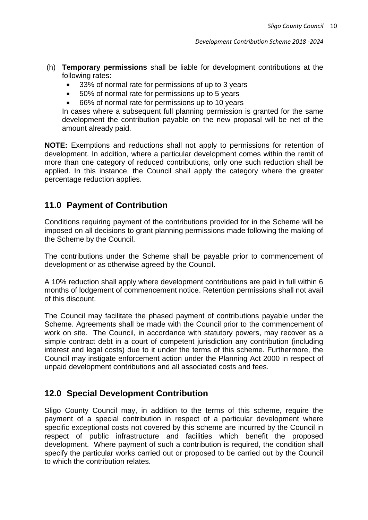- (h) **Temporary permissions** shall be liable for development contributions at the following rates:
	- 33% of normal rate for permissions of up to 3 years
	- 50% of normal rate for permissions up to 5 years
	- 66% of normal rate for permissions up to 10 years

In cases where a subsequent full planning permission is granted for the same development the contribution payable on the new proposal will be net of the amount already paid.

**NOTE:** Exemptions and reductions shall not apply to permissions for retention of development. In addition, where a particular development comes within the remit of more than one category of reduced contributions, only one such reduction shall be applied. In this instance, the Council shall apply the category where the greater percentage reduction applies.

## **11.0 Payment of Contribution**

Conditions requiring payment of the contributions provided for in the Scheme will be imposed on all decisions to grant planning permissions made following the making of the Scheme by the Council.

The contributions under the Scheme shall be payable prior to commencement of development or as otherwise agreed by the Council.

A 10% reduction shall apply where development contributions are paid in full within 6 months of lodgement of commencement notice. Retention permissions shall not avail of this discount.

The Council may facilitate the phased payment of contributions payable under the Scheme. Agreements shall be made with the Council prior to the commencement of work on site. The Council, in accordance with statutory powers, may recover as a simple contract debt in a court of competent jurisdiction any contribution (including interest and legal costs) due to it under the terms of this scheme. Furthermore, the Council may instigate enforcement action under the Planning Act 2000 in respect of unpaid development contributions and all associated costs and fees.

## **12.0 Special Development Contribution**

Sligo County Council may, in addition to the terms of this scheme, require the payment of a special contribution in respect of a particular development where specific exceptional costs not covered by this scheme are incurred by the Council in respect of public infrastructure and facilities which benefit the proposed development. Where payment of such a contribution is required, the condition shall specify the particular works carried out or proposed to be carried out by the Council to which the contribution relates.